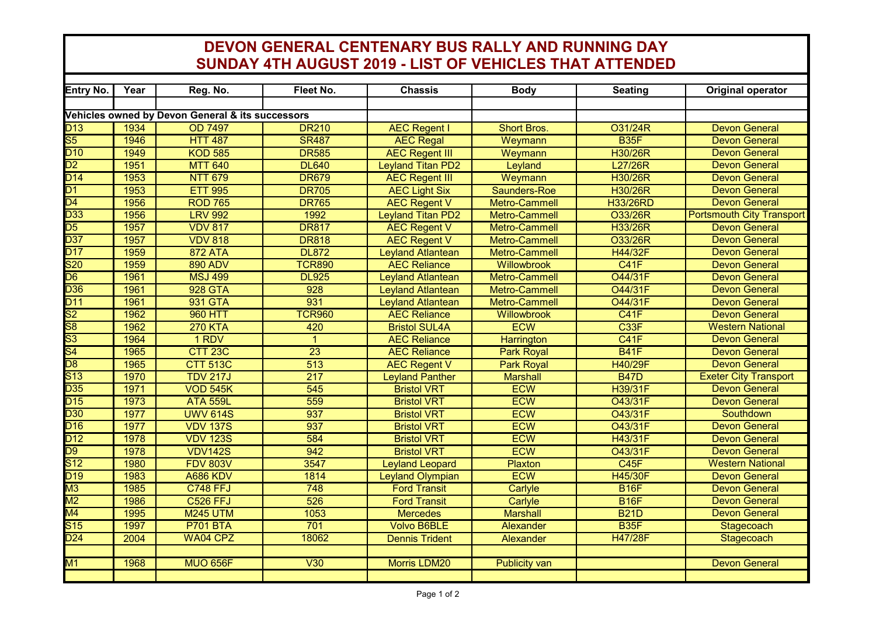## **DEVON GENERAL CENTENARY BUS RALLY AND RUNNING DAY SUNDAY 4TH AUGUST 2019 - LIST OF VEHICLES THAT ATTENDED**

| Entry No.                                        | Year | Reg. No.        | Fleet No.        | <b>Chassis</b>           | <b>Body</b>          | <b>Seating</b>    | <b>Original operator</b>         |  |  |  |  |  |
|--------------------------------------------------|------|-----------------|------------------|--------------------------|----------------------|-------------------|----------------------------------|--|--|--|--|--|
|                                                  |      |                 |                  |                          |                      |                   |                                  |  |  |  |  |  |
| Vehicles owned by Devon General & its successors |      |                 |                  |                          |                      |                   |                                  |  |  |  |  |  |
| D13                                              | 1934 | <b>OD 7497</b>  | <b>DR210</b>     | <b>AEC Regent I</b>      | <b>Short Bros.</b>   | O31/24R           | <b>Devon General</b>             |  |  |  |  |  |
| $\overline{\text{S5}}$                           | 1946 | <b>HTT 487</b>  | <b>SR487</b>     | <b>AEC Regal</b>         | Weymann              | B <sub>35</sub> F | <b>Devon General</b>             |  |  |  |  |  |
| $D$ 10                                           | 1949 | <b>KOD 585</b>  | <b>DR585</b>     | <b>AEC Regent III</b>    | Weymann              | <b>H30/26R</b>    | <b>Devon General</b>             |  |  |  |  |  |
| $\overline{D2}$                                  | 1951 | <b>MTT 640</b>  | <b>DL640</b>     | <b>Leyland Titan PD2</b> | Leyland              | L27/26R           | <b>Devon General</b>             |  |  |  |  |  |
| $\overline{D14}$                                 | 1953 | <b>NTT 679</b>  | <b>DR679</b>     | <b>AEC Regent III</b>    | Weymann              | <b>H30/26R</b>    | <b>Devon General</b>             |  |  |  |  |  |
| $\overline{D1}$                                  | 1953 | <b>ETT 995</b>  | <b>DR705</b>     | <b>AEC Light Six</b>     | Saunders-Roe         | <b>H30/26R</b>    | <b>Devon General</b>             |  |  |  |  |  |
| $\overline{D4}$                                  | 1956 | <b>ROD 765</b>  | <b>DR765</b>     | <b>AEC Regent V</b>      | <b>Metro-Cammell</b> | <b>H33/26RD</b>   | <b>Devon General</b>             |  |  |  |  |  |
| D <sub>33</sub>                                  | 1956 | <b>LRV 992</b>  | 1992             | <b>Leyland Titan PD2</b> | Metro-Cammell        | O33/26R           | <b>Portsmouth City Transport</b> |  |  |  |  |  |
| $\overline{\mathsf{D}5}$                         | 1957 | <b>VDV 817</b>  | <b>DR817</b>     | <b>AEC Regent V</b>      | <b>Metro-Cammell</b> | H33/26R           | <b>Devon General</b>             |  |  |  |  |  |
| $\overline{D37}$                                 | 1957 | <b>VDV 818</b>  | <b>DR818</b>     | <b>AEC Regent V</b>      | Metro-Cammell        | O33/26R           | <b>Devon General</b>             |  |  |  |  |  |
| D17                                              | 1959 | <b>872 ATA</b>  | <b>DL872</b>     | <b>Leyland Atlantean</b> | Metro-Cammell        | H44/32F           | <b>Devon General</b>             |  |  |  |  |  |
| $\overline{\text{S20}}$                          | 1959 | <b>890 ADV</b>  | <b>TCR890</b>    | <b>AEC Reliance</b>      | <b>Willowbrook</b>   | C41F              | <b>Devon General</b>             |  |  |  |  |  |
| $\overline{D6}$                                  | 1961 | <b>MSJ 499</b>  | <b>DL925</b>     | <b>Leyland Atlantean</b> | Metro-Cammell        | O44/31F           | <b>Devon General</b>             |  |  |  |  |  |
| D <sub>36</sub>                                  | 1961 | <b>928 GTA</b>  | 928              | <b>Leyland Atlantean</b> | <b>Metro-Cammell</b> | O44/31F           | <b>Devon General</b>             |  |  |  |  |  |
| $\overline{D11}$                                 | 1961 | 931 GTA         | 931              | <b>Leyland Atlantean</b> | Metro-Cammell        | <b>O44/31F</b>    | <b>Devon General</b>             |  |  |  |  |  |
| $\overline{\text{S2}}$                           | 1962 | <b>960 HTT</b>  | <b>TCR960</b>    | <b>AEC Reliance</b>      | Willowbrook          | <b>C41F</b>       | <b>Devon General</b>             |  |  |  |  |  |
| $\overline{\text{S8}}$                           | 1962 | <b>270 KTA</b>  | 420              | <b>Bristol SUL4A</b>     | <b>ECW</b>           | C33F              | <b>Western National</b>          |  |  |  |  |  |
| $\overline{\text{S3}}$                           | 1964 | 1 RDV           | $\mathbf{1}$     | <b>AEC Reliance</b>      | <b>Harrington</b>    | <b>C41F</b>       | <b>Devon General</b>             |  |  |  |  |  |
| $\overline{\mathsf{S}4}$                         | 1965 | <b>CTT 23C</b>  | $\overline{23}$  | <b>AEC Reliance</b>      | <b>Park Royal</b>    | <b>B41F</b>       | <b>Devon General</b>             |  |  |  |  |  |
| $\overline{D8}$                                  | 1965 | <b>CTT 513C</b> | $\overline{513}$ | <b>AEC Regent V</b>      | <b>Park Royal</b>    | H40/29F           | <b>Devon General</b>             |  |  |  |  |  |
| $\overline{\text{S}13}$                          | 1970 | <b>TDV 217J</b> | $\overline{217}$ | <b>Leyland Panther</b>   | <b>Marshall</b>      | <b>B47D</b>       | <b>Exeter City Transport</b>     |  |  |  |  |  |
| D35                                              | 1971 | <b>VOD 545K</b> | 545              | <b>Bristol VRT</b>       | <b>ECW</b>           | H39/31F           | <b>Devon General</b>             |  |  |  |  |  |
| D15                                              | 1973 | <b>ATA 559L</b> | 559              | <b>Bristol VRT</b>       | <b>ECW</b>           | O43/31F           | <b>Devon General</b>             |  |  |  |  |  |
| D30                                              | 1977 | <b>UWV 614S</b> | 937              | <b>Bristol VRT</b>       | <b>ECW</b>           | O43/31F           | Southdown                        |  |  |  |  |  |
| D16                                              | 1977 | <b>VDV 137S</b> | 937              | <b>Bristol VRT</b>       | <b>ECW</b>           | O43/31F           | <b>Devon General</b>             |  |  |  |  |  |
| D12                                              | 1978 | <b>VDV 123S</b> | 584              | <b>Bristol VRT</b>       | <b>ECW</b>           | H43/31F           | <b>Devon General</b>             |  |  |  |  |  |
| $\overline{D9}$                                  | 1978 | <b>VDV142S</b>  | 942              | <b>Bristol VRT</b>       | <b>ECW</b>           | O43/31F           | <b>Devon General</b>             |  |  |  |  |  |
| $\overline{\text{S}12}$                          | 1980 | <b>FDV 803V</b> | 3547             | <b>Leyland Leopard</b>   | <b>Plaxton</b>       | C45F              | <b>Western National</b>          |  |  |  |  |  |
| D <sub>19</sub>                                  | 1983 | <b>A686 KDV</b> | 1814             | <b>Leyland Olympian</b>  | <b>ECW</b>           | <b>H45/30F</b>    | <b>Devon General</b>             |  |  |  |  |  |
| $\overline{\text{M3}}$                           | 1985 | <b>C748 FFJ</b> | 748              | <b>Ford Transit</b>      | Carlyle              | <b>B16F</b>       | <b>Devon General</b>             |  |  |  |  |  |
| $\overline{\text{M2}}$                           | 1986 | <b>C526 FFJ</b> | 526              | <b>Ford Transit</b>      | Carlyle              | <b>B16F</b>       | <b>Devon General</b>             |  |  |  |  |  |
| $\overline{\mathsf{M4}}$                         | 1995 | <b>M245 UTM</b> | 1053             | <b>Mercedes</b>          | <b>Marshall</b>      | <b>B21D</b>       | <b>Devon General</b>             |  |  |  |  |  |
| S <sub>15</sub>                                  | 1997 | <b>P701 BTA</b> | 701              | <b>Volvo B6BLE</b>       | Alexander            | B <sub>35</sub> F | Stagecoach                       |  |  |  |  |  |
| D <sub>24</sub>                                  | 2004 | <b>WA04 CPZ</b> | 18062            | <b>Dennis Trident</b>    | Alexander            | <b>H47/28F</b>    | Stagecoach                       |  |  |  |  |  |
|                                                  |      |                 |                  |                          |                      |                   |                                  |  |  |  |  |  |
| M1                                               | 1968 | <b>MUO 656F</b> | V30              | <b>Morris LDM20</b>      | <b>Publicity van</b> |                   | <b>Devon General</b>             |  |  |  |  |  |
|                                                  |      |                 |                  |                          |                      |                   |                                  |  |  |  |  |  |